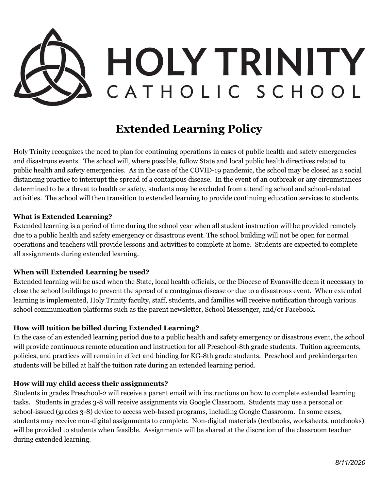

# **Extended Learning Policy**

Holy Trinity recognizes the need to plan for continuing operations in cases of public health and safety emergencies and disastrous events. The school will, where possible, follow State and local public health directives related to public health and safety emergencies. As in the case of the COVID-19 pandemic, the school may be closed as a social distancing practice to interrupt the spread of a contagious disease. In the event of an outbreak or any circumstances determined to be a threat to health or safety, students may be excluded from attending school and school-related activities. The school will then transition to extended learning to provide continuing education services to students.

#### **What is Extended Learning?**

Extended learning is a period of time during the school year when all student instruction will be provided remotely due to a public health and safety emergency or disastrous event. The school building will not be open for normal operations and teachers will provide lessons and activities to complete at home. Students are expected to complete all assignments during extended learning.

#### **When will Extended Learning be used?**

Extended learning will be used when the State, local health officials, or the Diocese of Evansville deem it necessary to close the school buildings to prevent the spread of a contagious disease or due to a disastrous event. When extended learning is implemented, Holy Trinity faculty, staff, students, and families will receive notification through various school communication platforms such as the parent newsletter, School Messenger, and/or Facebook.

#### **How will tuition be billed during Extended Learning?**

In the case of an extended learning period due to a public health and safety emergency or disastrous event, the school will provide continuous remote education and instruction for all Preschool-8th grade students. Tuition agreements, policies, and practices will remain in effect and binding for KG-8th grade students. Preschool and prekindergarten students will be billed at half the tuition rate during an extended learning period.

#### **How will my child access their assignments?**

Students in grades Preschool-2 will receive a parent email with instructions on how to complete extended learning tasks. Students in grades 3-8 will receive assignments via Google Classroom. Students may use a personal or school-issued (grades 3-8) device to access web-based programs, including Google Classroom. In some cases, students may receive non-digital assignments to complete. Non-digital materials (textbooks, worksheets, notebooks) will be provided to students when feasible. Assignments will be shared at the discretion of the classroom teacher during extended learning.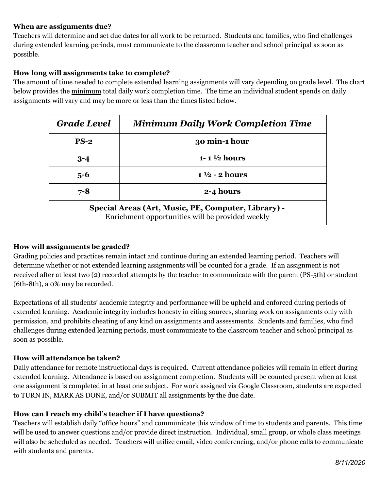### **When are assignments due?**

Teachers will determine and set due dates for all work to be returned. Students and families, who find challenges during extended learning periods, must communicate to the classroom teacher and school principal as soon as possible.

## **How long will assignments take to complete?**

The amount of time needed to complete extended learning assignments will vary depending on grade level. The chart below provides the minimum total daily work completion time. The time an individual student spends on daily assignments will vary and may be more or less than the times listed below.

| <b>Grade Level</b>                                                                                      | <b>Minimum Daily Work Completion Time</b> |
|---------------------------------------------------------------------------------------------------------|-------------------------------------------|
| $PS-2$                                                                                                  | 30 min-1 hour                             |
| $3 - 4$                                                                                                 | $1 - 1 \frac{1}{2}$ hours                 |
| $5 - 6$                                                                                                 | $1\frac{1}{2}$ - 2 hours                  |
| $7 - 8$                                                                                                 | 2-4 hours                                 |
| Special Areas (Art, Music, PE, Computer, Library) -<br>Enrichment opportunities will be provided weekly |                                           |

### **How will assignments be graded?**

Grading policies and practices remain intact and continue during an extended learning period. Teachers will determine whether or not extended learning assignments will be counted for a grade. If an assignment is not received after at least two (2) recorded attempts by the teacher to communicate with the parent (PS-5th) or student (6th-8th), a 0% may be recorded.

Expectations of all students' academic integrity and performance will be upheld and enforced during periods of extended learning. Academic integrity includes honesty in citing sources, sharing work on assignments only with permission, and prohibits cheating of any kind on assignments and assessments. Students and families, who find challenges during extended learning periods, must communicate to the classroom teacher and school principal as soon as possible.

#### **How will attendance be taken?**

Daily attendance for remote instructional days is required. Current attendance policies will remain in effect during extended learning. Attendance is based on assignment completion. Students will be counted present when at least one assignment is completed in at least one subject. For work assigned via Google Classroom, students are expected to TURN IN, MARK AS DONE, and/or SUBMIT all assignments by the due date.

#### **How can I reach my child's teacher if I have questions?**

Teachers will establish daily "office hours" and communicate this window of time to students and parents. This time will be used to answer questions and/or provide direct instruction. Individual, small group, or whole class meetings will also be scheduled as needed. Teachers will utilize email, video conferencing, and/or phone calls to communicate with students and parents.